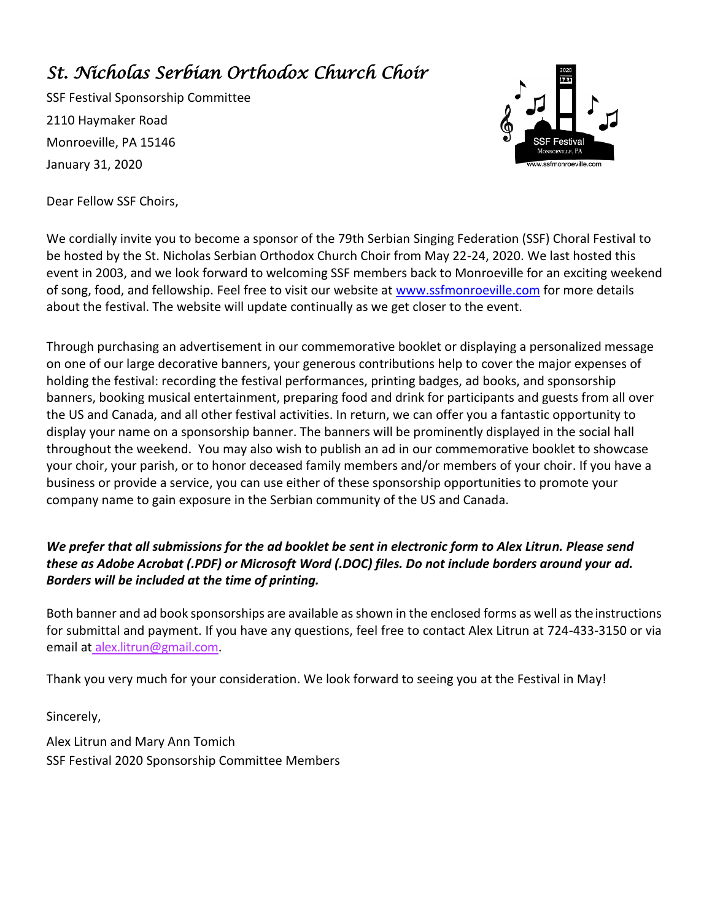### *St. Nicholas Serbian Orthodox Church Choir*

SSF Festival Sponsorship Committee 2110 Haymaker Road Monroeville, PA 15146 January 31, 2020



Dear Fellow SSF Choirs,

We cordially invite you to become a sponsor of the 79th Serbian Singing Federation (SSF) Choral Festival to be hosted by the St. Nicholas Serbian Orthodox Church Choir from May 22-24, 2020. We last hosted this event in 2003, and we look forward to welcoming SSF members back to Monroeville for an exciting weekend of song, food, and fellowship. Feel free to visit our website at [www.ssfmonroeville.com](http://www.ssfmonroeville.com/) for more details about the festival. The website will update continually as we get closer to the event.

Through purchasing an advertisement in our commemorative booklet or displaying a personalized message on one of our large decorative banners, your generous contributions help to cover the major expenses of holding the festival: recording the festival performances, printing badges, ad books, and sponsorship banners, booking musical entertainment, preparing food and drink for participants and guests from all over the US and Canada, and all other festival activities. In return, we can offer you a fantastic opportunity to display your name on a sponsorship banner. The banners will be prominently displayed in the social hall throughout the weekend. You may also wish to publish an ad in our commemorative booklet to showcase your choir, your parish, or to honor deceased family members and/or members of your choir. If you have a business or provide a service, you can use either of these sponsorship opportunities to promote your company name to gain exposure in the Serbian community of the US and Canada.

#### *We prefer that all submissions for the ad booklet be sent in electronic form to Alex Litrun. Please send these as Adobe Acrobat (.PDF) or Microsoft Word (.DOC) files. Do not include borders around your ad. Borders will be included at the time of printing.*

Both banner and ad book sponsorships are available as shown in the enclosed forms as well as the instructions for submittal and payment. If you have any questions, feel free to contact Alex Litrun at 724-433-3150 or via email at alex.litrun@gmail.co[m.](mailto:michelle.efatoski@gmail.com)

Thank you very much for your consideration. We look forward to seeing you at the Festival in May!

Sincerely,

Alex Litrun and Mary Ann Tomich SSF Festival 2020 Sponsorship Committee Members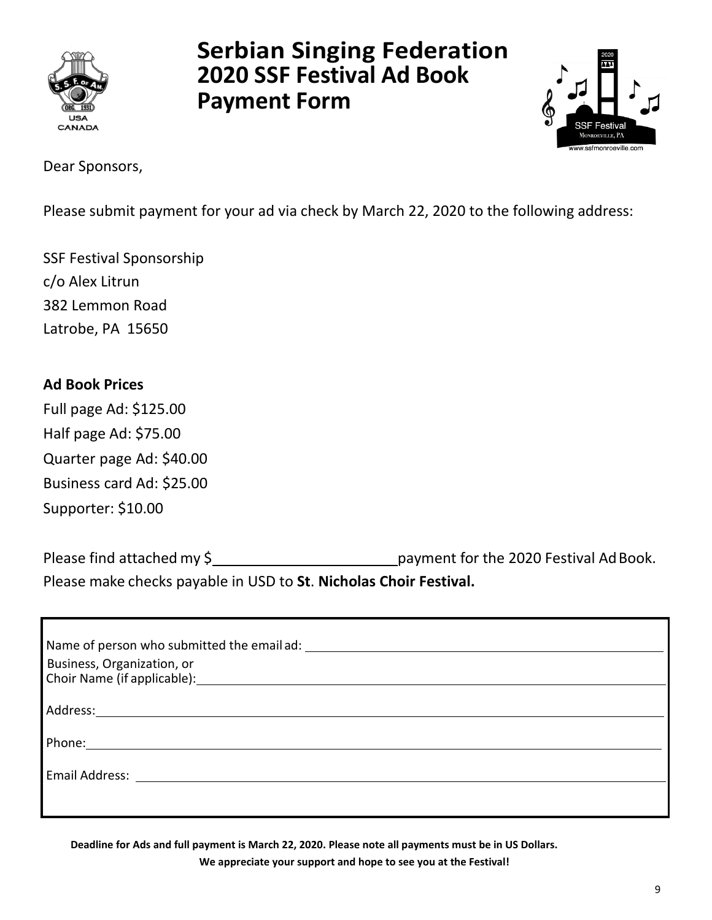

# **Serbian Singing Federation 2020 SSF Festival Ad Book Payment Form**



Dear Sponsors,

Please submit payment for your ad via check by March 22, 2020 to the following address:

SSF Festival Sponsorship c/o Alex Litrun 382 Lemmon Road Latrobe, PA 15650

### **Ad Book Prices**

Full page Ad: \$125.00 Half page Ad: \$75.00 Quarter page Ad: \$40.00 Business card Ad: \$25.00 Supporter: \$10.00

Please find attached my \$ payment for the 2020 Festival Ad Book. Please make checks payable in USD to **St**. **Nicholas Choir Festival.**

| Business, Organization, or                                                                                                                                                                                                     |
|--------------------------------------------------------------------------------------------------------------------------------------------------------------------------------------------------------------------------------|
|                                                                                                                                                                                                                                |
|                                                                                                                                                                                                                                |
|                                                                                                                                                                                                                                |
| Email Address: The Contract of The Contract of The Contract of The Contract of The Contract of The Contract of The Contract of The Contract of The Contract of The Contract of The Contract of The Contract of The Contract of |
|                                                                                                                                                                                                                                |
|                                                                                                                                                                                                                                |

**Deadline for Ads and full payment is March 22, 2020. Please note all payments must be in US Dollars. We appreciate your support and hope to see you at the Festival!**